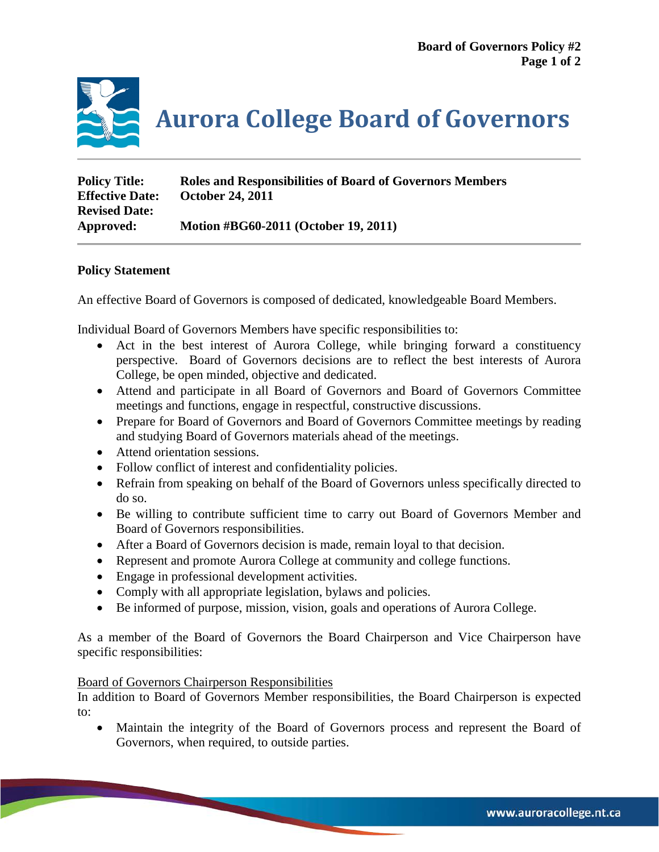

**Aurora College Board of Governors**

| <b>Policy Title:</b>   | <b>Roles and Responsibilities of Board of Governors Members</b> |
|------------------------|-----------------------------------------------------------------|
| <b>Effective Date:</b> | <b>October 24, 2011</b>                                         |
| <b>Revised Date:</b>   |                                                                 |
| Approved:              | Motion #BG60-2011 (October 19, 2011)                            |

## **Policy Statement**

An effective Board of Governors is composed of dedicated, knowledgeable Board Members.

Individual Board of Governors Members have specific responsibilities to:

- Act in the best interest of Aurora College, while bringing forward a constituency perspective. Board of Governors decisions are to reflect the best interests of Aurora College, be open minded, objective and dedicated.
- Attend and participate in all Board of Governors and Board of Governors Committee meetings and functions, engage in respectful, constructive discussions.
- Prepare for Board of Governors and Board of Governors Committee meetings by reading and studying Board of Governors materials ahead of the meetings.
- Attend orientation sessions.
- Follow conflict of interest and confidentiality policies.
- Refrain from speaking on behalf of the Board of Governors unless specifically directed to do so.
- Be willing to contribute sufficient time to carry out Board of Governors Member and Board of Governors responsibilities.
- After a Board of Governors decision is made, remain loyal to that decision.
- Represent and promote Aurora College at community and college functions.
- Engage in professional development activities.
- Comply with all appropriate legislation, bylaws and policies.
- Be informed of purpose, mission, vision, goals and operations of Aurora College.

As a member of the Board of Governors the Board Chairperson and Vice Chairperson have specific responsibilities:

#### Board of Governors Chairperson Responsibilities

In addition to Board of Governors Member responsibilities, the Board Chairperson is expected to:

• Maintain the integrity of the Board of Governors process and represent the Board of Governors, when required, to outside parties.